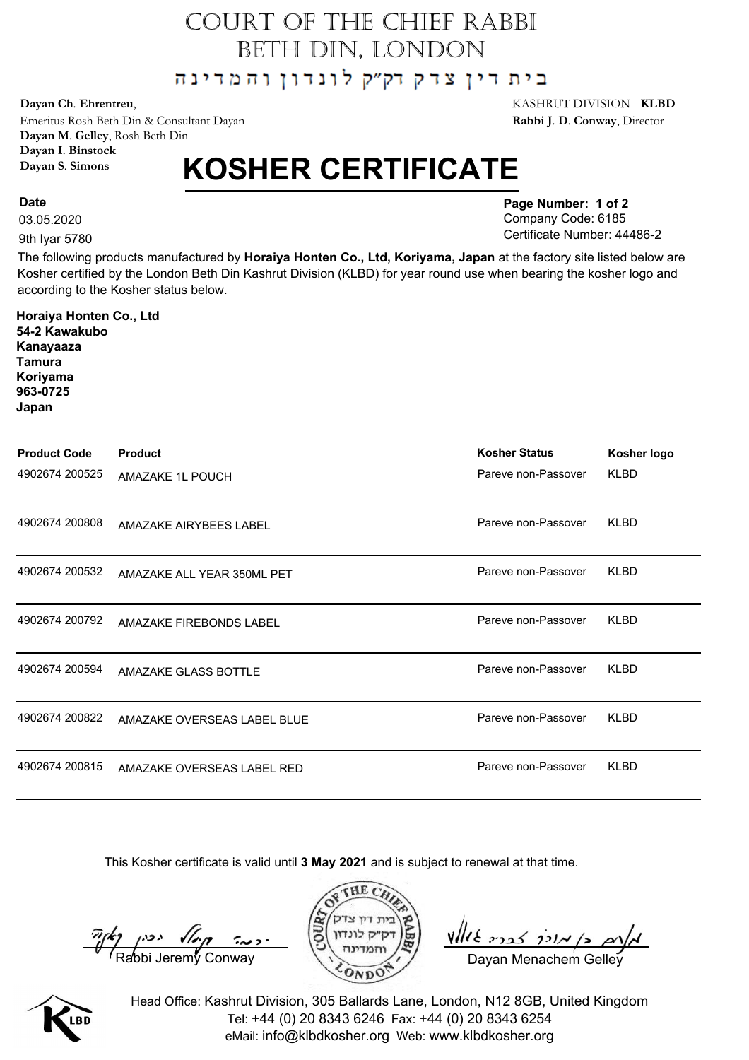## COURT OF THE CHIEF RABBI BETH DIN, LONDON

בית דין צדק דק"ק לונדון והמדינה

Emeritus Rosh Beth Din & Consultant Dayan **Rabbi J**. **D**. **Conway**, Director **Dayan M**. **Gelley**, Rosh Beth Din **Dayan I**. **Binstock Dayan S**. **Simons**

## **KOSHER CERTIFICATE**

03.05.2020

**Date**

9th Iyar 5780

**54-2 Kawakubo**

**Horaiya Honten Co., Ltd**

**Page Number: 1 of 2** Company Code: 6185 Certificate Number: 44486-2

The following products manufactured by **Horaiya Honten Co., Ltd, Koriyama, Japan** at the factory site listed below are Kosher certified by the London Beth Din Kashrut Division (KLBD) for year round use when bearing the kosher logo and according to the Kosher status below.

| Kanayaaza<br>Tamura<br>Koriyama<br>963-0725<br>Japan |                             |                      |             |
|------------------------------------------------------|-----------------------------|----------------------|-------------|
| <b>Product Code</b>                                  | <b>Product</b>              | <b>Kosher Status</b> | Kosher logo |
| 4902674 200525                                       | AMAZAKE 1L POUCH            | Pareve non-Passover  | <b>KLBD</b> |
| 4902674 200808                                       | AMAZAKE AIRYBEES LABEL      | Pareve non-Passover  | <b>KLBD</b> |
| 4902674 200532                                       | AMAZAKE ALL YEAR 350ML PET  | Pareve non-Passover  | <b>KLBD</b> |
| 4902674 200792                                       | AMAZAKE FIREBONDS LABEL     | Pareve non-Passover  | <b>KLBD</b> |
| 4902674 200594                                       | AMAZAKE GLASS BOTTLE        | Pareve non-Passover  | <b>KLBD</b> |
| 4902674 200822                                       | AMAZAKE OVERSEAS LABEL BLUE | Pareve non-Passover  | <b>KLBD</b> |
| 4902674 200815                                       | AMAZAKE OVERSEAS LABEL RED  | Pareve non-Passover  | <b>KLBD</b> |
|                                                      |                             |                      |             |

This Kosher certificate is valid until **3 May 2021** and is subject to renewal at that time.

 $\frac{\pi}{k}$   $\left(\frac{k}{\text{Rabbi}}\right)$   $\left(\frac{k}{\text{Rabbi}}\right)$   $\left(\frac{k}{\text{Rabbi}}\right)$   $\left(\frac{k}{\text{Rabbi}}\right)$   $\left(\frac{k}{\text{Rabbi}}\right)$   $\left(\frac{k}{\text{Rabbi}}\right)$   $\left(\frac{k}{\text{Rabbi}}\right)$   $\left(\frac{k}{\text{Rabbi}}\right)$   $\left(\frac{k}{\text{Rabbi}}\right)$   $\left(\frac{k}{\text{Rabbi}}\right)$   $\left(\frac{k}{\text{Rabbi}}\right)$   $\$ 





Head Office: Kashrut Division, 305 Ballards Lane, London, N12 8GB, United Kingdom Tel: +44 (0) 20 8343 6246 Fax: +44 (0) 20 8343 6254 eMail: info@klbdkosher.org Web: www.klbdkosher.org

**Dayan Ch**. **Ehrentreu**, KASHRUT DIVISION - **KLBD**